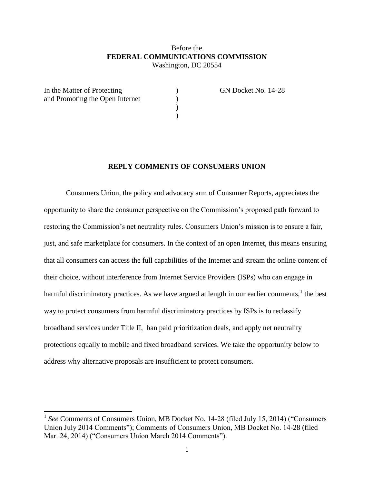### Before the **FEDERAL COMMUNICATIONS COMMISSION** Washington, DC 20554

 $\begin{pmatrix} 1 \\ 2 \end{pmatrix}$ 

)

| In the Matter of Protecting     |  |
|---------------------------------|--|
| and Promoting the Open Internet |  |
|                                 |  |
|                                 |  |

 $\overline{\phantom{a}}$ 

In the GN Docket No. 14-28

### **REPLY COMMENTS OF CONSUMERS UNION**

Consumers Union, the policy and advocacy arm of Consumer Reports, appreciates the opportunity to share the consumer perspective on the Commission's proposed path forward to restoring the Commission's net neutrality rules. Consumers Union's mission is to ensure a fair, just, and safe marketplace for consumers. In the context of an open Internet, this means ensuring that all consumers can access the full capabilities of the Internet and stream the online content of their choice, without interference from Internet Service Providers (ISPs) who can engage in harmful discriminatory practices. As we have argued at length in our earlier comments,  $\frac{1}{1}$  the best way to protect consumers from harmful discriminatory practices by ISPs is to reclassify broadband services under Title II, ban paid prioritization deals, and apply net neutrality protections equally to mobile and fixed broadband services. We take the opportunity below to address why alternative proposals are insufficient to protect consumers.

<sup>&</sup>lt;sup>1</sup> See Comments of Consumers Union, MB Docket No. 14-28 (filed July 15, 2014) ("Consumers" Union July 2014 Comments"); Comments of Consumers Union, MB Docket No. 14-28 (filed Mar. 24, 2014) ("Consumers Union March 2014 Comments").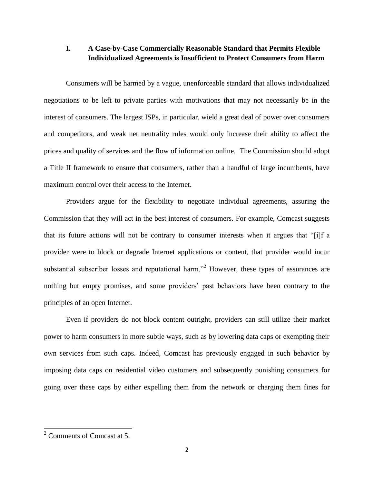# **I. A Case-by-Case Commercially Reasonable Standard that Permits Flexible Individualized Agreements is Insufficient to Protect Consumers from Harm**

Consumers will be harmed by a vague, unenforceable standard that allows individualized negotiations to be left to private parties with motivations that may not necessarily be in the interest of consumers. The largest ISPs, in particular, wield a great deal of power over consumers and competitors, and weak net neutrality rules would only increase their ability to affect the prices and quality of services and the flow of information online. The Commission should adopt a Title II framework to ensure that consumers, rather than a handful of large incumbents, have maximum control over their access to the Internet.

Providers argue for the flexibility to negotiate individual agreements, assuring the Commission that they will act in the best interest of consumers. For example, Comcast suggests that its future actions will not be contrary to consumer interests when it argues that "[i]f a provider were to block or degrade Internet applications or content, that provider would incur substantial subscriber losses and reputational harm.<sup>22</sup> However, these types of assurances are nothing but empty promises, and some providers' past behaviors have been contrary to the principles of an open Internet.

Even if providers do not block content outright, providers can still utilize their market power to harm consumers in more subtle ways, such as by lowering data caps or exempting their own services from such caps. Indeed, Comcast has previously engaged in such behavior by imposing data caps on residential video customers and subsequently punishing consumers for going over these caps by either expelling them from the network or charging them fines for

 $\overline{\phantom{a}}$ 

<sup>2</sup> Comments of Comcast at 5.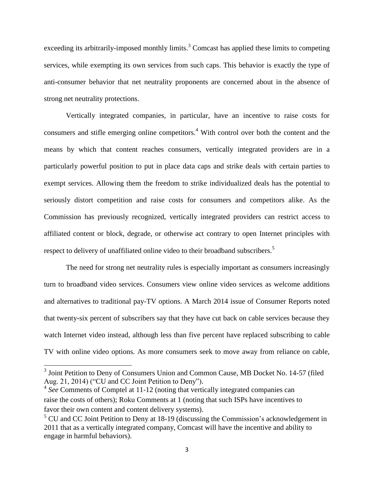exceeding its arbitrarily-imposed monthly limits.<sup>3</sup> Comcast has applied these limits to competing services, while exempting its own services from such caps. This behavior is exactly the type of anti-consumer behavior that net neutrality proponents are concerned about in the absence of strong net neutrality protections.

Vertically integrated companies, in particular, have an incentive to raise costs for consumers and stifle emerging online competitors.<sup>4</sup> With control over both the content and the means by which that content reaches consumers, vertically integrated providers are in a particularly powerful position to put in place data caps and strike deals with certain parties to exempt services. Allowing them the freedom to strike individualized deals has the potential to seriously distort competition and raise costs for consumers and competitors alike. As the Commission has previously recognized, vertically integrated providers can restrict access to affiliated content or block, degrade, or otherwise act contrary to open Internet principles with respect to delivery of unaffiliated online video to their broadband subscribers.<sup>5</sup>

The need for strong net neutrality rules is especially important as consumers increasingly turn to broadband video services. Consumers view online video services as welcome additions and alternatives to traditional pay-TV options. A March 2014 issue of Consumer Reports noted that twenty-six percent of subscribers say that they have cut back on cable services because they watch Internet video instead, although less than five percent have replaced subscribing to cable TV with online video options. As more consumers seek to move away from reliance on cable,

<sup>&</sup>lt;sup>3</sup> Joint Petition to Deny of Consumers Union and Common Cause, MB Docket No. 14-57 (filed Aug. 21, 2014) ("CU and CC Joint Petition to Deny").

<sup>&</sup>lt;sup>4</sup> See Comments of Comptel at 11-12 (noting that vertically integrated companies can raise the costs of others); Roku Comments at 1 (noting that such ISPs have incentives to favor their own content and content delivery systems).

 $5$  CU and CC Joint Petition to Deny at 18-19 (discussing the Commission's acknowledgement in 2011 that as a vertically integrated company, Comcast will have the incentive and ability to engage in harmful behaviors).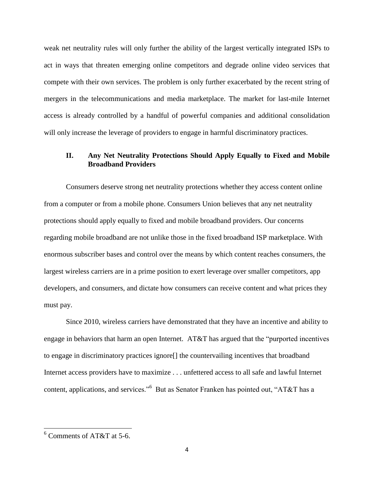weak net neutrality rules will only further the ability of the largest vertically integrated ISPs to act in ways that threaten emerging online competitors and degrade online video services that compete with their own services. The problem is only further exacerbated by the recent string of mergers in the telecommunications and media marketplace. The market for last-mile Internet access is already controlled by a handful of powerful companies and additional consolidation will only increase the leverage of providers to engage in harmful discriminatory practices.

## **II. Any Net Neutrality Protections Should Apply Equally to Fixed and Mobile Broadband Providers**

Consumers deserve strong net neutrality protections whether they access content online from a computer or from a mobile phone. Consumers Union believes that any net neutrality protections should apply equally to fixed and mobile broadband providers. Our concerns regarding mobile broadband are not unlike those in the fixed broadband ISP marketplace. With enormous subscriber bases and control over the means by which content reaches consumers, the largest wireless carriers are in a prime position to exert leverage over smaller competitors, app developers, and consumers, and dictate how consumers can receive content and what prices they must pay.

Since 2010, wireless carriers have demonstrated that they have an incentive and ability to engage in behaviors that harm an open Internet. AT&T has argued that the "purported incentives to engage in discriminatory practices ignore[] the countervailing incentives that broadband Internet access providers have to maximize . . . unfettered access to all safe and lawful Internet content, applications, and services."<sup>6</sup> But as Senator Franken has pointed out, "AT&T has a

 $\overline{\phantom{a}}$ 

<sup>6</sup> Comments of AT&T at 5-6.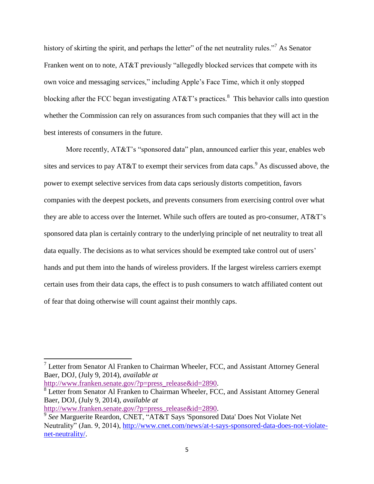history of skirting the spirit, and perhaps the letter" of the net neutrality rules."<sup>7</sup> As Senator Franken went on to note, AT&T previously "allegedly blocked services that compete with its own voice and messaging services," including Apple's Face Time, which it only stopped blocking after the FCC began investigating  $AT&T$ 's practices.<sup>8</sup> This behavior calls into question whether the Commission can rely on assurances from such companies that they will act in the best interests of consumers in the future.

More recently, AT&T's "sponsored data" plan, announced earlier this year, enables web sites and services to pay AT&T to exempt their services from data caps.<sup>9</sup> As discussed above, the power to exempt selective services from data caps seriously distorts competition, favors companies with the deepest pockets, and prevents consumers from exercising control over what they are able to access over the Internet. While such offers are touted as pro-consumer, AT&T's sponsored data plan is certainly contrary to the underlying principle of net neutrality to treat all data equally. The decisions as to what services should be exempted take control out of users' hands and put them into the hands of wireless providers. If the largest wireless carriers exempt certain uses from their data caps, the effect is to push consumers to watch affiliated content out of fear that doing otherwise will count against their monthly caps.

[http://www.franken.senate.gov/?p=press\\_release&id=2890.](http://www.franken.senate.gov/?p=press_release&id=2890)

<sup>&</sup>lt;sup>7</sup> Letter from Senator Al Franken to Chairman Wheeler, FCC, and Assistant Attorney General Baer, DOJ, (July 9, 2014), *available at*

<sup>&</sup>lt;sup>8</sup> Letter from Senator Al Franken to Chairman Wheeler, FCC, and Assistant Attorney General Baer, DOJ, (July 9, 2014), *available at*

[http://www.franken.senate.gov/?p=press\\_release&id=2890.](http://www.franken.senate.gov/?p=press_release&id=2890)

<sup>9</sup> *See* Marguerite Reardon, CNET, "AT&T Says 'Sponsored Data' Does Not Violate Net Neutrality" (Jan. 9, 2014), [http://www.cnet.com/news/at-t-says-sponsored-data-does-not-violate](http://www.cnet.com/news/at-t-says-sponsored-data-does-not-violate-net-neutrality/)[net-neutrality/.](http://www.cnet.com/news/at-t-says-sponsored-data-does-not-violate-net-neutrality/)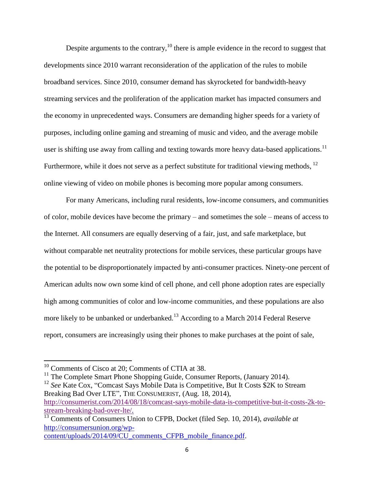Despite arguments to the contrary,  $10$  there is ample evidence in the record to suggest that developments since 2010 warrant reconsideration of the application of the rules to mobile broadband services. Since 2010, consumer demand has skyrocketed for bandwidth-heavy streaming services and the proliferation of the application market has impacted consumers and the economy in unprecedented ways. Consumers are demanding higher speeds for a variety of purposes, including online gaming and streaming of music and video, and the average mobile user is shifting use away from calling and texting towards more heavy data-based applications.<sup>11</sup> Furthermore, while it does not serve as a perfect substitute for traditional viewing methods,  $^{12}$ online viewing of video on mobile phones is becoming more popular among consumers.

For many Americans, including rural residents, low-income consumers, and communities of color, mobile devices have become the primary – and sometimes the sole – means of access to the Internet. All consumers are equally deserving of a fair, just, and safe marketplace, but without comparable net neutrality protections for mobile services, these particular groups have the potential to be disproportionately impacted by anti-consumer practices. Ninety-one percent of American adults now own some kind of cell phone, and cell phone adoption rates are especially high among communities of color and low-income communities, and these populations are also more likely to be unbanked or underbanked.<sup>13</sup> According to a March 2014 Federal Reserve report, consumers are increasingly using their phones to make purchases at the point of sale,

 $\overline{a}$ 

 $10$  Comments of Cisco at 20; Comments of CTIA at 38.

 $11$  The Complete Smart Phone Shopping Guide, Consumer Reports, (January 2014).

<sup>&</sup>lt;sup>12</sup> *See* Kate Cox, "Comcast Says Mobile Data is Competitive, But It Costs \$2K to Stream Breaking Bad Over LTE", THE CONSUMERIST, (Aug. 18, 2014), [http://consumerist.com/2014/08/18/comcast-says-mobile-data-is-competitive-but-it-costs-2k-to](http://consumerist.com/2014/08/18/comcast-says-mobile-data-is-competitive-but-it-costs-2k-to-stream-breaking-bad-over-lte/)[stream-breaking-bad-over-lte/.](http://consumerist.com/2014/08/18/comcast-says-mobile-data-is-competitive-but-it-costs-2k-to-stream-breaking-bad-over-lte/)

<sup>13</sup> Comments of Consumers Union to CFPB, Docket (filed Sep. 10, 2014), *available at* [http://consumersunion.org/wp](http://consumersunion.org/wp-content/uploads/2014/09/CU_comments_CFPB_mobile_finance.pdf)[content/uploads/2014/09/CU\\_comments\\_CFPB\\_mobile\\_finance.pdf.](http://consumersunion.org/wp-content/uploads/2014/09/CU_comments_CFPB_mobile_finance.pdf)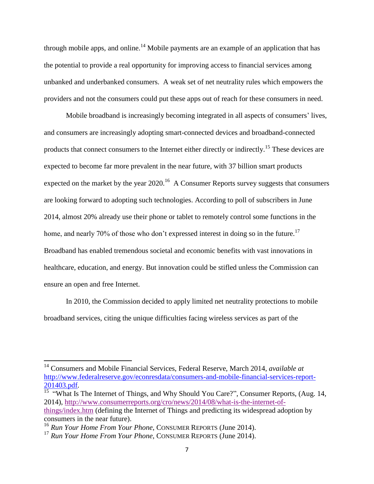through mobile apps, and online.<sup>14</sup> Mobile payments are an example of an application that has the potential to provide a real opportunity for improving access to financial services among unbanked and underbanked consumers. A weak set of net neutrality rules which empowers the providers and not the consumers could put these apps out of reach for these consumers in need.

Mobile broadband is increasingly becoming integrated in all aspects of consumers' lives, and consumers are increasingly adopting smart-connected devices and broadband-connected products that connect consumers to the Internet either directly or indirectly.<sup>15</sup> These devices are expected to become far more prevalent in the near future, with 37 billion smart products expected on the market by the year  $2020$ .<sup>16</sup> A Consumer Reports survey suggests that consumers are looking forward to adopting such technologies. According to poll of subscribers in June 2014, almost 20% already use their phone or tablet to remotely control some functions in the home, and nearly 70% of those who don't expressed interest in doing so in the future.<sup>17</sup> Broadband has enabled tremendous societal and economic benefits with vast innovations in healthcare, education, and energy. But innovation could be stifled unless the Commission can ensure an open and free Internet.

In 2010, the Commission decided to apply limited net neutrality protections to mobile broadband services, citing the unique difficulties facing wireless services as part of the

 $\overline{a}$ 

<sup>14</sup> Consumers and Mobile Financial Services, Federal Reserve, March 2014, *available at*  [http://www.federalreserve.gov/econresdata/consumers-and-mobile-financial-services-report-](http://www.federalreserve.gov/econresdata/consumers-and-mobile-financial-services-report-201403.pdf)[201403.pdf.](http://www.federalreserve.gov/econresdata/consumers-and-mobile-financial-services-report-201403.pdf)

<sup>&</sup>lt;sup>15</sup> "What Is The Internet of Things, and Why Should You Care?", Consumer Reports, (Aug. 14, 2014), [http://www.consumerreports.org/cro/news/2014/08/what-is-the-internet-of](http://www.consumerreports.org/cro/news/2014/08/what-is-the-internet-of-things/index.htm)[things/index.htm](http://www.consumerreports.org/cro/news/2014/08/what-is-the-internet-of-things/index.htm) (defining the Internet of Things and predicting its widespread adoption by consumers in the near future).

<sup>&</sup>lt;sup>16</sup> *Run Your Home From Your Phone*, CONSUMER REPORTS (June 2014).

<sup>&</sup>lt;sup>17</sup> *Run Your Home From Your Phone*, CONSUMER REPORTS (June 2014).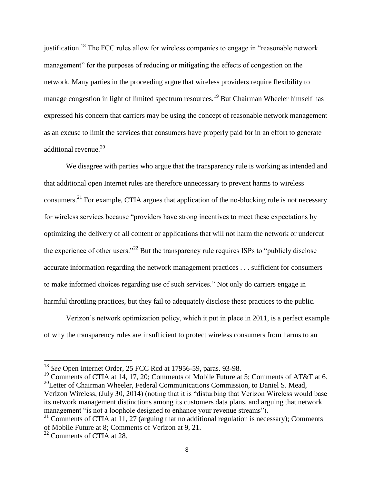justification.<sup>18</sup> The FCC rules allow for wireless companies to engage in "reasonable network" management" for the purposes of reducing or mitigating the effects of congestion on the network. Many parties in the proceeding argue that wireless providers require flexibility to manage congestion in light of limited spectrum resources.<sup>19</sup> But Chairman Wheeler himself has expressed his concern that carriers may be using the concept of reasonable network management as an excuse to limit the services that consumers have properly paid for in an effort to generate additional revenue.<sup>20</sup>

We disagree with parties who argue that the transparency rule is working as intended and that additional open Internet rules are therefore unnecessary to prevent harms to wireless consumers.<sup>21</sup> For example, CTIA argues that application of the no-blocking rule is not necessary for wireless services because "providers have strong incentives to meet these expectations by optimizing the delivery of all content or applications that will not harm the network or undercut the experience of other users."<sup>22</sup> But the transparency rule requires ISPs to "publicly disclose" accurate information regarding the network management practices . . . sufficient for consumers to make informed choices regarding use of such services." Not only do carriers engage in harmful throttling practices, but they fail to adequately disclose these practices to the public.

Verizon's network optimization policy, which it put in place in 2011, is a perfect example of why the transparency rules are insufficient to protect wireless consumers from harms to an

<sup>19</sup> Comments of CTIA at 14, 17, 20; Comments of Mobile Future at 5; Comments of AT&T at 6.  $^{20}$ Letter of Chairman Wheeler, Federal Communications Commission, to Daniel S. Mead, Verizon Wireless, (July 30, 2014) (noting that it is "disturbing that Verizon Wireless would base its network management distinctions among its customers data plans, and arguing that network management "is not a loophole designed to enhance your revenue streams").

 $\overline{a}$ 

<sup>18</sup> *See* Open Internet Order, 25 FCC Rcd at 17956-59, paras. 93-98.

<sup>&</sup>lt;sup>21</sup> Comments of CTIA at 11, 27 (arguing that no additional regulation is necessary); Comments of Mobile Future at 8; Comments of Verizon at 9, 21.

<sup>22</sup> Comments of CTIA at 28.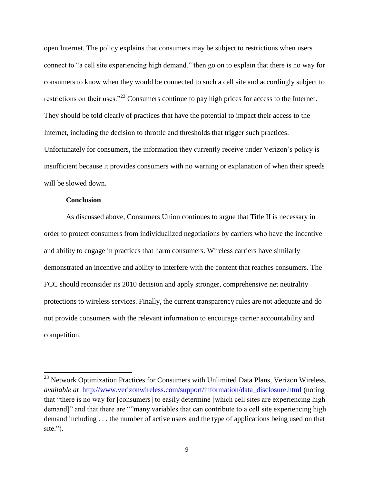open Internet. The policy explains that consumers may be subject to restrictions when users connect to "a cell site experiencing high demand," then go on to explain that there is no way for consumers to know when they would be connected to such a cell site and accordingly subject to restrictions on their uses."<sup>23</sup> Consumers continue to pay high prices for access to the Internet. They should be told clearly of practices that have the potential to impact their access to the Internet, including the decision to throttle and thresholds that trigger such practices. Unfortunately for consumers, the information they currently receive under Verizon's policy is insufficient because it provides consumers with no warning or explanation of when their speeds will be slowed down.

#### **Conclusion**

 $\overline{\phantom{a}}$ 

As discussed above, Consumers Union continues to argue that Title II is necessary in order to protect consumers from individualized negotiations by carriers who have the incentive and ability to engage in practices that harm consumers. Wireless carriers have similarly demonstrated an incentive and ability to interfere with the content that reaches consumers. The FCC should reconsider its 2010 decision and apply stronger, comprehensive net neutrality protections to wireless services. Finally, the current transparency rules are not adequate and do not provide consumers with the relevant information to encourage carrier accountability and competition.

 $^{23}$  Network Optimization Practices for Consumers with Unlimited Data Plans, Verizon Wireless, *available at* [http://www.verizonwireless.com/support/information/data\\_disclosure.html](http://www.verizonwireless.com/support/information/data_disclosure.html) (noting that "there is no way for [consumers] to easily determine [which cell sites are experiencing high demand]" and that there are ""many variables that can contribute to a cell site experiencing high demand including . . . the number of active users and the type of applications being used on that site.").